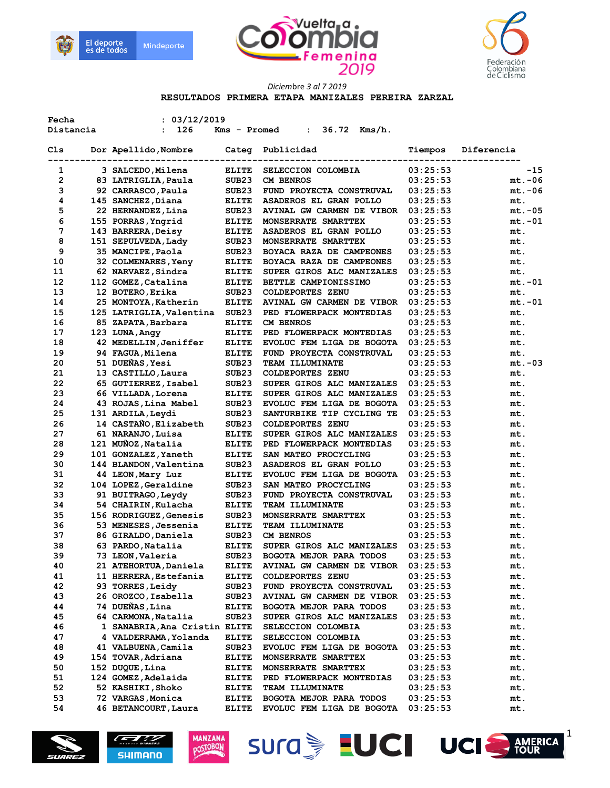





**RESULTADOS PRIMERA ETAPA MANIZALES PEREIRA ZARZAL** 

| Fecha     | : 03/12/2019                            |                   |                                  |          |            |
|-----------|-----------------------------------------|-------------------|----------------------------------|----------|------------|
| Distancia | 126<br>$\ddot{\phantom{a}}$             | Kms - Promed      | 36.72 Kms/h.<br>$\mathbf{L}$     |          |            |
| Cls       | Dor Apellido, Nombre<br>-------         | Categ             | Publicidad                       | Tiempos  | Diferencia |
| 1         | 3 SALCEDO, Milena                       | <b>ELITE</b>      | SELECCION COLOMBIA               | 03:25:53 | -15        |
| 2         | 83 LATRIGLIA, Paula                     | SUB <sub>23</sub> | <b>CM BENROS</b>                 | 03:25:53 | $mt.-06$   |
| 3         | 92 CARRASCO, Paula                      | SUB <sub>23</sub> | FUND PROYECTA CONSTRUVAL         | 03:25:53 | $mt.-06$   |
|           |                                         |                   |                                  |          |            |
| 4         | 145 SANCHEZ, Diana                      | <b>ELITE</b>      | ASADEROS EL GRAN POLLO           | 03:25:53 | mt.        |
| 5         | 22 HERNANDEZ, Lina                      | SUB <sub>23</sub> | AVINAL GW CARMEN DE VIBOR        | 03:25:53 | $mt.-05$   |
| 6         | 155 PORRAS, Yngrid                      | <b>ELITE</b>      | MONSERRATE SMARTTEX              | 03:25:53 | $mt.-01$   |
| 7         | 143 BARRERA, Deisy                      | <b>ELITE</b>      | ASADEROS EL GRAN POLLO           | 03:25:53 | mt.        |
| 8         | 151 SEPULVEDA, Lady                     | SUB <sub>23</sub> | MONSERRATE SMARTTEX              | 03:25:53 | mt.        |
| 9         | 35 MANCIPE, Paola                       | SUB <sub>23</sub> | BOYACA RAZA DE CAMPEONES         | 03:25:53 | mt.        |
| 10        | 32 COLMENARES, Yeny                     | <b>ELITE</b>      | BOYACA RAZA DE CAMPEONES         | 03:25:53 | mt.        |
| 11        | 62 NARVAEZ, Sindra                      | <b>ELITE</b>      | SUPER GIROS ALC MANIZALES        | 03:25:53 | mt.        |
| 12        | 112 GOMEZ, Catalina                     | <b>ELITE</b>      | BETTLE CAMPIONISSIMO             | 03:25:53 | mt.-01     |
| 13        | 12 BOTERO, Erika                        | SUB <sub>23</sub> | <b>COLDEPORTES ZENU</b>          | 03:25:53 | mt.        |
| 14        | 25 MONTOYA, Katherin                    | <b>ELITE</b>      | AVINAL GW CARMEN DE VIBOR        | 03:25:53 | $mt.-01$   |
| 15        | 125 LATRIGLIA, Valentina                | SUB <sub>23</sub> | PED FLOWERPACK MONTEDIAS         | 03:25:53 | mt.        |
| 16        | 85 ZAPATA, Barbara                      | <b>ELITE</b>      | CM BENROS                        | 03:25:53 | mt.        |
| 17        | 123 LUNA, Angy                          | <b>ELITE</b>      | PED FLOWERPACK MONTEDIAS         | 03:25:53 | mt.        |
| 18        | 42 MEDELLIN, Jeniffer                   | <b>ELITE</b>      | EVOLUC FEM LIGA DE BOGOTA        | 03:25:53 | mt.        |
| 19        | 94 FAGUA, Milena                        | <b>ELITE</b>      | FUND PROYECTA CONSTRUVAL         | 03:25:53 | mt.        |
| 20        | 51 DUEÑAS, Yesi                         | SUB <sub>23</sub> | <b>TEAM ILLUMINATE</b>           | 03:25:53 | $mt.-03$   |
| 21        | 13 CASTILLO, Laura                      | SUB <sub>23</sub> | <b>COLDEPORTES ZENU</b>          | 03:25:53 | mt.        |
| 22        | 65 GUTIERREZ, Isabel                    | SUB <sub>23</sub> | SUPER GIROS ALC MANIZALES        | 03:25:53 | mt.        |
| 23        | 66 VILLADA, Lorena                      | <b>ELITE</b>      | SUPER GIROS ALC MANIZALES        | 03:25:53 | mt.        |
| 24        | 43 ROJAS, Lina Mabel                    | SUB <sub>23</sub> | EVOLUC FEM LIGA DE BOGOTA        | 03:25:53 | mt.        |
| 25        | 131 ARDILA, Leydi                       | SUB <sub>23</sub> | SANTURBIKE TIP CYCLING TE        | 03:25:53 | mt.        |
| 26        | 14 CASTAÑO, Elizabeth                   | SUB <sub>23</sub> | <b>COLDEPORTES ZENU</b>          | 03:25:53 |            |
|           |                                         |                   |                                  |          | mt.        |
| 27        | 61 NARANJO, Luisa<br>121 MUÑOZ, Natalia | <b>ELITE</b>      | SUPER GIROS ALC MANIZALES        | 03:25:53 | mt.        |
| 28        |                                         | <b>ELITE</b>      | PED FLOWERPACK MONTEDIAS         | 03:25:53 | mt.        |
| 29        | 101 GONZALEZ, Yaneth                    | <b>ELITE</b>      | <b>SAN MATEO PROCYCLING</b>      | 03:25:53 | mt.        |
| 30        | 144 BLANDON, Valentina                  | SUB <sub>23</sub> | ASADEROS EL GRAN POLLO           | 03:25:53 | mt.        |
| 31        | 44 LEON, Mary Luz                       | <b>ELITE</b>      | EVOLUC FEM LIGA DE BOGOTA        | 03:25:53 | mt.        |
| 32        | 104 LOPEZ, Geraldine                    | SUB <sub>23</sub> | SAN MATEO PROCYCLING             | 03:25:53 | mt.        |
| 33        | 91 BUITRAGO, Leydy                      | SUB <sub>23</sub> | FUND PROYECTA CONSTRUVAL         | 03:25:53 | mt.        |
| 34        | 54 CHAIRIN, Kulacha                     | <b>ELITE</b>      | <b>TEAM ILLUMINATE</b>           | 03:25:53 | mt.        |
| 35        | 156 RODRIGUEZ, Genesis                  | SUB <sub>23</sub> | MONSERRATE SMARTTEX              | 03:25:53 | mt.        |
| 36        | 53 MENESES, Jessenia                    | <b>ELITE</b>      | TEAM ILLUMINATE                  | 03:25:53 | mt.        |
| 37        | 86 GIRALDO, Daniela                     | SUB <sub>23</sub> | <b>CM BENROS</b>                 | 03:25:53 | mt.        |
| 38        | 63 PARDO, Natalia                       | <b>ELITE</b>      | SUPER GIROS ALC MANIZALES        | 03:25:53 | mt.        |
| 39        | 73 LEON, Valeria                        | SUB <sub>23</sub> | <b>BOGOTA MEJOR PARA TODOS</b>   | 03:25:53 | mt.        |
| 40        | 21 ATEHORTUA, Daniela                   | <b>ELITE</b>      | <b>AVINAL GW CARMEN DE VIBOR</b> | 03:25:53 | mt.        |
| 41        | 11 HERRERA, Estefania                   | <b>ELITE</b>      | <b>COLDEPORTES ZENU</b>          | 03:25:53 | mt.        |
| 42        | 93 TORRES, Leidy                        | SUB23             | FUND PROYECTA CONSTRUVAL         | 03:25:53 | mt.        |
| 43        | 26 OROZCO,Isabella                      | SUB23             | AVINAL GW CARMEN DE VIBOR        | 03:25:53 | mt.        |
| 44        | 74 DUEÑAS, Lina                         | <b>ELITE</b>      | BOGOTA MEJOR PARA TODOS          | 03:25:53 | mt.        |
| 45        | 64 CARMONA, Natalia                     | SUB <sub>23</sub> | SUPER GIROS ALC MANIZALES        | 03:25:53 | mt.        |
| 46        | 1 SANABRIA, Ana Cristin ELITE           |                   | SELECCION COLOMBIA               | 03:25:53 | mt.        |
| 47        | 4 VALDERRAMA, Yolanda                   | <b>ELITE</b>      | SELECCION COLOMBIA               | 03:25:53 | mt.        |
| 48        | 41 VALBUENA, Camila                     | SUB <sub>23</sub> | EVOLUC FEM LIGA DE BOGOTA        | 03:25:53 | mt.        |
| 49        | 154 TOVAR, Adriana                      | <b>ELITE</b>      | MONSERRATE SMARTTEX              | 03:25:53 | mt.        |
| 50        | 152 DUQUE, Lina                         | <b>ELITE</b>      | MONSERRATE SMARTTEX              | 03:25:53 | mt.        |
| 51        | 124 GOMEZ, Adelaida                     | <b>ELITE</b>      | PED FLOWERPACK MONTEDIAS         | 03:25:53 | mt.        |
| 52        | 52 KASHIKI, Shoko                       | <b>ELITE</b>      | <b>TEAM ILLUMINATE</b>           | 03:25:53 | mt.        |
| 53        | 72 VARGAS, Monica                       | <b>ELITE</b>      | BOGOTA MEJOR PARA TODOS          | 03:25:53 | mt.        |
| 54        | 46 BETANCOURT, Laura                    |                   | EVOLUC FEM LIGA DE BOGOTA        | 03:25:53 |            |
|           |                                         | <b>ELITE</b>      |                                  |          | mt.        |







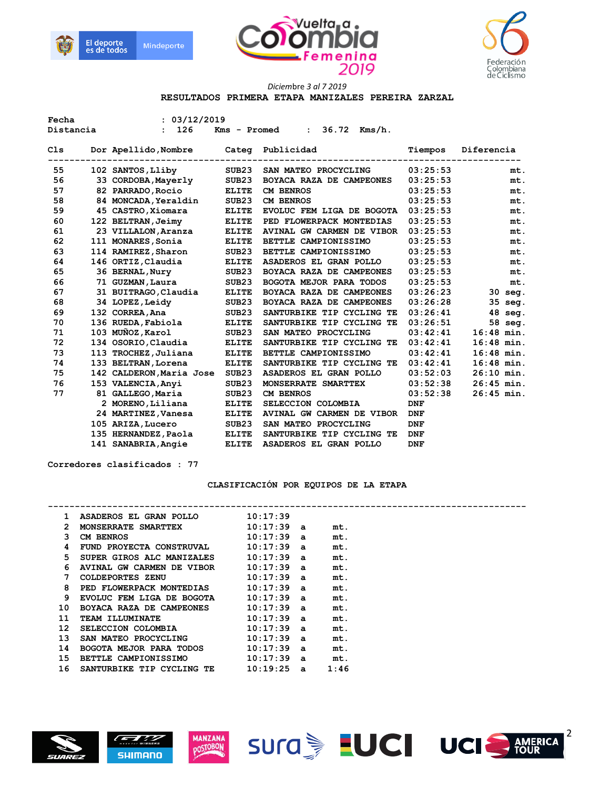





### **RESULTADOS PRIMERA ETAPA MANIZALES PEREIRA ZARZAL**

| Fecha     | : 03/12/2019 |                          |                   |                                              |            |              |
|-----------|--------------|--------------------------|-------------------|----------------------------------------------|------------|--------------|
| Distancia |              | 126<br>$\mathbf{r}$      |                   | 36.72 Kms/h.<br>Kms - Promed<br>$\mathbf{r}$ |            |              |
| C1s       |              | Dor Apellido, Nombre     | Categ             | Publicidad                                   | Tiempos    | Diferencia   |
| 55        |              | 102 SANTOS, Lliby        | SUB <sub>23</sub> | SAN MATEO PROCYCLING                         | 03:25:53   | mt.          |
| 56        |              | 33 CORDOBA, Mayerly      | SUB23             | BOYACA RAZA DE CAMPEONES                     | 03:25:53   | mt.          |
| 57        |              | 82 PARRADO, Rocio        | <b>ELITE</b>      | <b>CM BENROS</b>                             | 03:25:53   | mt.          |
| 58        |              | 84 MONCADA, Yeraldin     | SUB <sub>23</sub> | <b>CM BENROS</b>                             | 03:25:53   | mt.          |
| 59        |              | 45 CASTRO, Xiomara       | <b>ELITE</b>      | EVOLUC FEM LIGA DE BOGOTA                    | 03:25:53   | mt.          |
| 60        |              | 122 BELTRAN, Jeimy       | <b>ELITE</b>      | PED FLOWERPACK MONTEDIAS                     | 03:25:53   | mt.          |
| 61        |              | 23 VILLALON, Aranza      | <b>ELITE</b>      | AVINAL GW CARMEN DE VIBOR                    | 03:25:53   | mt.          |
| 62        |              | 111 MONARES, Sonia       | <b>ELITE</b>      | BETTLE CAMPIONISSIMO                         | 03:25:53   | mt.          |
| 63        |              | 114 RAMIREZ, Sharon      | SUB <sub>23</sub> | BETTLE CAMPIONISSIMO                         | 03:25:53   | mt.          |
| 64        |              | 146 ORTIZ, Claudia       | <b>ELITE</b>      | ASADEROS EL GRAN POLLO                       | 03:25:53   | mt.          |
| 65        |              | 36 BERNAL, Nury          | SUB <sub>23</sub> | BOYACA RAZA DE CAMPEONES                     | 03:25:53   | mt.          |
| 66        |              | 71 GUZMAN, Laura         | SUB <sub>23</sub> | <b>BOGOTA MEJOR PARA TODOS</b>               | 03:25:53   | mt.          |
| 67        |              | 31 BUITRAGO, Claudia     | <b>ELITE</b>      | BOYACA RAZA DE CAMPEONES                     | 03:26:23   | $30$ seq.    |
| 68        |              | 34 LOPEZ, Leidy          | SUB <sub>23</sub> | BOYACA RAZA DE CAMPEONES                     | 03:26:28   | 35 seg.      |
| 69        |              | 132 CORREA, Ana          | SUB <sub>23</sub> | SANTURBIKE TIP CYCLING TE                    | 03:26:41   | 48 seg.      |
| 70        |              | 136 RUEDA, Fabiola       | <b>ELITE</b>      | SANTURBIKE TIP CYCLING TE                    | 03:26:51   | 58 seg.      |
| 71        |              | 103 MUÑOZ, Karol         | SUB23             | SAN MATEO PROCYCLING                         | 03:42:41   | $16:48$ min. |
| 72        |              | 134 OSORIO, Claudia      | <b>ELITE</b>      | SANTURBIKE TIP CYCLING TE                    | 03:42:41   | $16:48$ min. |
| 73        |              | 113 TROCHEZ, Juliana     | <b>ELITE</b>      | BETTLE CAMPIONISSIMO                         | 03:42:41   | $16:48$ min. |
| 74        |              | 133 BELTRAN, Lorena      | <b>ELITE</b>      | SANTURBIKE TIP CYCLING TE                    | 03:42:41   | $16:48$ min. |
| 75        |              | 142 CALDERON, Maria Jose | SUB23             | ASADEROS EL GRAN POLLO                       | 03:52:03   | $26:10$ min. |
| 76        |              | 153 VALENCIA, Anyi       | SUB <sub>23</sub> | MONSERRATE SMARTTEX                          | 03:52:38   | $26:45$ min. |
| 77        |              | 81 GALLEGO, Maria        | SUB <sub>23</sub> | <b>CM BENROS</b>                             | 03:52:38   | $26:45$ min. |
|           |              | 2 MORENO, Liliana        | <b>ELITE</b>      | SELECCION COLOMBIA                           | <b>DNF</b> |              |
|           |              | 24 MARTINEZ, Vanesa      | <b>ELITE</b>      | AVINAL GW CARMEN DE VIBOR                    | <b>DNF</b> |              |
|           |              | 105 ARIZA, Lucero        | SUB <sub>23</sub> | SAN MATEO PROCYCLING                         | <b>DNF</b> |              |
|           |              | 135 HERNANDEZ, Paola     | <b>ELITE</b>      | SANTURBIKE TIP CYCLING TE                    | <b>DNF</b> |              |
|           |              | 141 SANABRIA, Angie      | <b>ELITE</b>      | ASADEROS EL GRAN POLLO                       | <b>DNF</b> |              |

 **Corredores clasificados : 77** 

# **CLASIFICACIÓN POR EQUIPOS DE LA ETAPA**

| 1. | ASADEROS EL GRAN POLLO                 | 10:17:39     |      |  |
|----|----------------------------------------|--------------|------|--|
| 2  | <b>MONSERRATE SMARTTEX</b>             | $10:17:39$ a | mt.  |  |
| 3. | $10:17:39$ a<br>CM BENROS              |              | mt.  |  |
| 4  | FUND PROYECTA CONSTRUVAL 10:17:39 a    |              | mt.  |  |
| 5  | SUPER GIROS ALC MANIZALES 10:17:39 a   |              | mt.  |  |
| 6  | AVINAL GW CARMEN DE VIBOR              | 10:17:39 a   | mt.  |  |
| 7  | <b>COLDEPORTES ZENU</b>                | $10:17:39$ a | mt.  |  |
| 8  | PED FLOWERPACK MONTEDIAS 10:17:39 a    |              | mt.  |  |
| 9  | EVOLUC FEM LIGA DE BOGOTA $10:17:39$ a |              | mt.  |  |
| 10 | BOYACA RAZA DE CAMPEONES 10:17:39 a    |              | mt.  |  |
| 11 | <b>TEAM ILLUMINATE</b>                 | 10:17:39 a   | mt.  |  |
| 12 | SELECCION COLOMBIA $10:17:39$ a        |              | mt.  |  |
| 13 | SAN MATEO PROCYCLING 10:17:39 a        |              | mt.  |  |
| 14 | BOGOTA MEJOR PARA TODOS 10:17:39 a     |              | mt.  |  |
| 15 | <b>BETTLE CAMPIONISSIMO</b>            | $10:17:39$ a | mt.  |  |
| 16 | SANTURBIKE TIP CYCLING TE              | $10:19:25$ a | 1:46 |  |
|    |                                        |              |      |  |









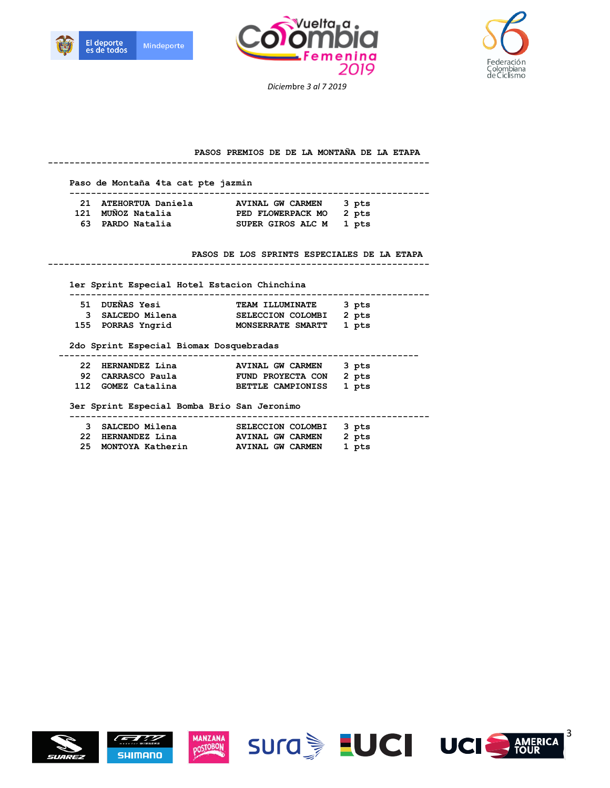





#### **PASOS PREMIOS DE DE LA MONTAÑA DE LA ETAPA**

| Paso de Montaña 4ta cat pte jazmin           |                                                |
|----------------------------------------------|------------------------------------------------|
|                                              | 21 ATEHORTUA Daniela MUINAL GW CARMEN<br>3 pts |
| 121 MUÑOZ Natalia                            | PED FLOWERPACK MO 2 pts                        |
|                                              | 63 PARDO Natalia SUPER GIROS ALC M 1 pts       |
|                                              | PASOS DE LOS SPRINTS ESPECIALES DE LA ETAPA    |
| 1er Sprint Especial Hotel Estacion Chinchina |                                                |
|                                              | .                                              |
| 51 DUEÑAS Yesi                               | TEAM ILLUMINATE 3 pts                          |
|                                              |                                                |
| 3 SALCEDO Milena                             | SELECCION COLOMBI 2 pts                        |
| 155 PORRAS Yngrid                            | MONSERRATE SMARTT<br>1 pts                     |
| 2do Sprint Especial Biomax Dosquebradas      |                                                |
| 22 HERNANDEZ Lina                            | AVINAL GW CARMEN<br>3 pts                      |
|                                              | 92 CARRASCO Paula FUND PROYECTA CON 2 pts      |
| 112 GOMEZ Catalina                           | <b>BETTLE CAMPIONISS</b><br>1 pts              |
| 3er Sprint Especial Bomba Brio San Jeronimo  |                                                |
| 3 SALCEDO Milena                             | SELECCION COLOMBI<br>3 pts                     |
|                                              | 22 HERNANDEZ Lina MVINAL GW CARMEN<br>2 pts    |













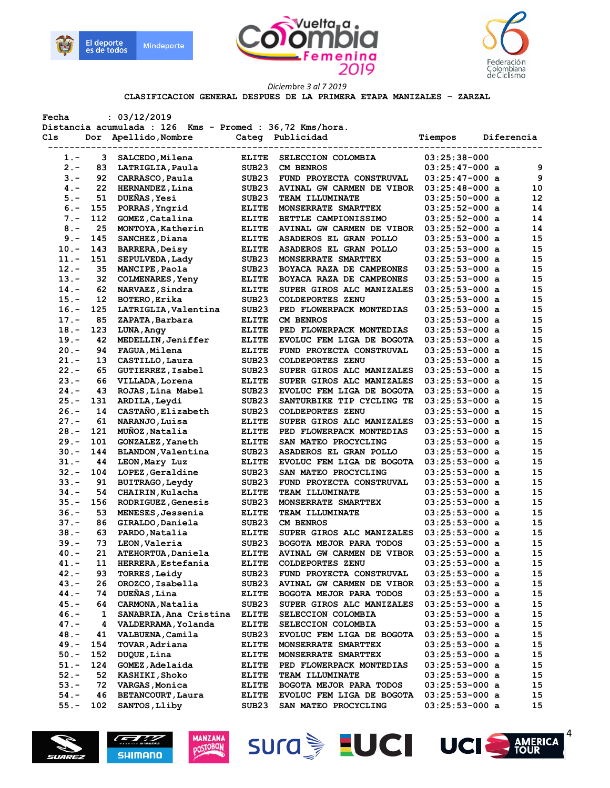





#### **CLASIFICACION GENERAL DESPUES DE LA PRIMERA ETAPA MANIZALES – ZARZAL**

| Fecha   |                | : 03/12/2019<br>Distancia acumulada : 126 Kms - Promed : 36,72 Kms/hora. |                                 |                           |                  |                 |
|---------|----------------|--------------------------------------------------------------------------|---------------------------------|---------------------------|------------------|-----------------|
| Cls.    |                | Dor Apellido, Nombre                                                     |                                 | Categ Publicidad          | Tiempos          | Diferencia      |
| $1. -$  | -------------- | 3 SALCEDO, Milena                                                        | ---------------<br><b>ELITE</b> | SELECCION COLOMBIA        | $03:25:38-000$   |                 |
| $2 -$   | 83             | LATRIGLIA, Paula                                                         | SUB23                           | <b>CM BENROS</b>          | $03:25:47-000$ a | 9               |
| $3 -$   | 92             | CARRASCO, Paula                                                          | SUB23                           | FUND PROYECTA CONSTRUVAL  | $03:25:47-000$ a | 9               |
| $4 -$   | 22             | HERNANDEZ, Lina                                                          | SUB23                           | AVINAL GW CARMEN DE VIBOR | $03:25:48-000$ a | 10              |
| $5. -$  | 51             | DUEÑAS, Yesi                                                             | SUB23                           | <b>TEAM ILLUMINATE</b>    | $03:25:50-000$ a | 12              |
|         | 155            |                                                                          |                                 |                           |                  | 14              |
| $6 -$   |                | PORRAS, Yngrid                                                           | ELITE                           | MONSERRATE SMARTTEX       | $03:25:52-000$ a |                 |
| $7 -$   | 112            | GOMEZ, Catalina                                                          | <b>ELITE</b>                    | BETTLE CAMPIONISSIMO      | $03:25:52-000$ a | 14              |
| $8 -$   | 25             | MONTOYA, Katherin                                                        | ELITE                           | AVINAL GW CARMEN DE VIBOR | $03:25:52-000$ a | 14              |
| $9 -$   | 145            | SANCHEZ, Diana                                                           | <b>ELITE</b>                    | ASADEROS EL GRAN POLLO    | $03:25:53-000$ a | 15              |
| $10. -$ | 143            | <b>BARRERA, Deisy</b>                                                    | <b>ELITE</b>                    | ASADEROS EL GRAN POLLO    | $03:25:53-000$ a | 15              |
| $11. -$ | 151            | SEPULVEDA, Lady                                                          | SUB23                           | MONSERRATE SMARTTEX       | $03:25:53-000$ a | 15              |
| $12 -$  | 35             | MANCIPE, Paola                                                           | SUB23                           | BOYACA RAZA DE CAMPEONES  | $03:25:53-000$ a | 15              |
| $13. -$ | 32             | <b>COLMENARES</b> , Yeny                                                 | <b>ELITE</b>                    | BOYACA RAZA DE CAMPEONES  | $03:25:53-000$ a | 15              |
| $14. -$ | 62             | NARVAEZ, Sindra                                                          | <b>ELITE</b>                    | SUPER GIROS ALC MANIZALES | $03:25:53-000$ a | 15              |
| $15. -$ | 12             | BOTERO, Erika                                                            | SUB23                           | COLDEPORTES ZENU          | $03:25:53-000$ a | 15              |
| $16. -$ | 125            | LATRIGLIA, Valentina                                                     | SUB23                           | PED FLOWERPACK MONTEDIAS  | $03:25:53-000$ a | 15              |
| $17. -$ | 85             | ZAPATA, Barbara                                                          | <b>ELITE</b>                    | <b>CM BENROS</b>          | $03:25:53-000$ a | 15              |
| $18. -$ | 123            | LUNA, Angy                                                               | <b>ELITE</b>                    | PED FLOWERPACK MONTEDIAS  | $03:25:53-000$ a | 15              |
| $19. -$ | 42             | MEDELLIN, Jeniffer                                                       | <b>ELITE</b>                    | EVOLUC FEM LIGA DE BOGOTA | $03:25:53-000$ a | 15              |
| $20 -$  | 94             | <b>FAGUA, Milena</b>                                                     | <b>ELITE</b>                    | FUND PROYECTA CONSTRUVAL  | $03:25:53-000$ a | 15              |
| $21 -$  | 13             | CASTILLO, Laura                                                          | SUB <sub>23</sub>               | <b>COLDEPORTES ZENU</b>   | $03:25:53-000$ a | 15              |
| $22 -$  | 65             | GUTIERREZ, Isabel                                                        | SUB23                           | SUPER GIROS ALC MANIZALES | $03:25:53-000$ a | 15              |
| $23 -$  | 66             | VILLADA, Lorena                                                          | <b>ELITE</b>                    | SUPER GIROS ALC MANIZALES | $03:25:53-000$ a | 15              |
| $24. -$ | 43             | ROJAS, Lina Mabel                                                        | SUB23                           | EVOLUC FEM LIGA DE BOGOTA | $03:25:53-000$ a | 15              |
| 25.-    | 131            | ARDILA, Leydi                                                            | SUB23                           | SANTURBIKE TIP CYCLING TE | $03:25:53-000$ a | 15              |
| $26. -$ | 14             | CASTAÑO, Elizabeth                                                       | SUB23                           | <b>COLDEPORTES ZENU</b>   | $03:25:53-000$ a | 15              |
| $27. -$ | 61             | NARANJO, Luisa                                                           | <b>ELITE</b>                    | SUPER GIROS ALC MANIZALES | $03:25:53-000$ a | 15              |
|         |                | MUÑOZ, Natalia                                                           |                                 |                           |                  | 15              |
| $28. -$ | 121            |                                                                          | <b>ELITE</b>                    | PED FLOWERPACK MONTEDIAS  | $03:25:53-000$ a |                 |
| 29. –   | 101            | GONZALEZ, Yaneth                                                         | <b>ELITE</b>                    | SAN MATEO PROCYCLING      | $03:25:53-000$ a | 15              |
| $30 -$  | 144            | <b>BLANDON, Valentina</b>                                                | SUB23                           | ASADEROS EL GRAN POLLO    | $03:25:53-000$ a | 15              |
| $31 -$  | 44             | LEON, Mary Luz                                                           | <b>ELITE</b>                    | EVOLUC FEM LIGA DE BOGOTA | $03:25:53-000$ a | 15              |
| $32 -$  | 104            | LOPEZ, Geraldine                                                         | SUB <sub>23</sub>               | SAN MATEO PROCYCLING      | $03:25:53-000$ a | 15              |
| $33 -$  | 91             | BUITRAGO, Leydy                                                          | SUB <sub>23</sub>               | FUND PROYECTA CONSTRUVAL  | $03:25:53-000$ a | 15              |
| $34. -$ | 54             | CHAIRIN, Kulacha                                                         | <b>ELITE</b>                    | <b>TEAM ILLUMINATE</b>    | $03:25:53-000$ a | 15              |
| $35 -$  | 156            | RODRIGUEZ, Genesis                                                       | SUB23                           | MONSERRATE SMARTTEX       | $03:25:53-000$ a | 15              |
| $36. -$ | 53             | MENESES, Jessenia                                                        | <b>ELITE</b>                    | <b>TEAM ILLUMINATE</b>    | $03:25:53-000$ a | 15              |
| $37. -$ | 86             | GIRALDO, Daniela                                                         | SUB23                           | CM BENROS                 | $03:25:53-000$ a | 15              |
| $38 -$  | 63             | PARDO, Natalia                                                           | ELITE                           | SUPER GIROS ALC MANIZALES | $03:25:53-000$ a | 15              |
| $39. -$ | 73             | LEON, Valeria                                                            | SUB <sub>23</sub>               | BOGOTA MEJOR PARA TODOS   | $03:25:53-000$ a | 15              |
| 40.-    | 21             | ATEHORTUA, Daniela                                                       | <b>ELITE</b>                    | AVINAL GW CARMEN DE VIBOR | $03:25:53-000$ a | 15 <sub>1</sub> |
| $41. -$ | 11             | HERRERA, Estefania                                                       | <b>ELITE</b>                    | <b>COLDEPORTES ZENU</b>   | $03:25:53-000$ a | 15              |
| $42 -$  | 93             | <b>TORRES, Leidy</b>                                                     | SUB23                           | FUND PROYECTA CONSTRUVAL  | $03:25:53-000$ a | 15              |
| $43 -$  | 26             | OROZCO, Isabella                                                         | SUB23                           | AVINAL GW CARMEN DE VIBOR | $03:25:53-000$ a | 15              |
| $44. -$ | 74             | DUEÑAS, Lina                                                             | <b>ELITE</b>                    | BOGOTA MEJOR PARA TODOS   | $03:25:53-000$ a | 15              |
| $45. -$ | 64             | CARMONA, Natalia                                                         | SUB23                           | SUPER GIROS ALC MANIZALES | $03:25:53-000$ a | 15              |
| $46. -$ | 1              | SANABRIA, Ana Cristina                                                   | <b>ELITE</b>                    | SELECCION COLOMBIA        | $03:25:53-000$ a | 15              |
| $47. -$ | 4              | VALDERRAMA, Yolanda                                                      | <b>ELITE</b>                    | SELECCION COLOMBIA        | $03:25:53-000$ a | 15              |
| $48. -$ | 41             | VALBUENA, Camila                                                         | SUB <sub>23</sub>               | EVOLUC FEM LIGA DE BOGOTA | $03:25:53-000$ a | 15              |
| $49. -$ | 154            | TOVAR, Adriana                                                           | ELITE                           | MONSERRATE SMARTTEX       | $03:25:53-000$ a | 15              |
| $50. -$ | 152            | DUQUE, Lina                                                              | <b>ELITE</b>                    | MONSERRATE SMARTTEX       | $03:25:53-000$ a | 15              |
| $51. -$ | 124            | GOMEZ, Adelaida                                                          | <b>ELITE</b>                    | PED FLOWERPACK MONTEDIAS  | $03:25:53-000$ a | 15              |
| $52 -$  | 52             |                                                                          |                                 | <b>TEAM ILLUMINATE</b>    | $03:25:53-000$ a |                 |
| $53. -$ |                | <b>KASHIKI, Shoko</b>                                                    | <b>ELITE</b>                    |                           |                  | 15              |
|         | 72             | VARGAS, Monica                                                           | ELITE                           | BOGOTA MEJOR PARA TODOS   | $03:25:53-000$ a | 15              |
| $54. -$ | 46             | BETANCOURT, Laura                                                        | <b>ELITE</b>                    | EVOLUC FEM LIGA DE BOGOTA | $03:25:53-000$ a | 15              |
| $55. -$ | 102            | SANTOS, Lliby                                                            | SUB23                           | SAN MATEO PROCYCLING      | $03:25:53-000$ a | 15              |









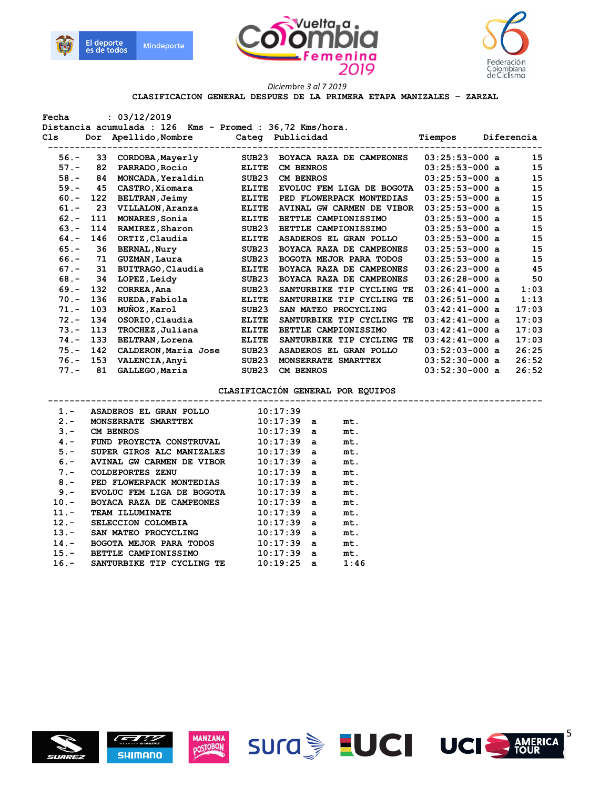





 **CLASIFICACION GENERAL DESPUES DE LA PRIMERA ETAPA MANIZALES – ZARZAL** 

| Fecha                                                    |     | : 03/12/2019                          |                   |                                          |                  |            |
|----------------------------------------------------------|-----|---------------------------------------|-------------------|------------------------------------------|------------------|------------|
| Distancia acumulada : 126 Kms - Promed : 36,72 Kms/hora. |     |                                       |                   |                                          |                  |            |
| C1s                                                      |     | Dor Apellido, Nombre Categ Publicidad |                   |                                          | Tiempos          | Diferencia |
|                                                          |     |                                       |                   |                                          |                  |            |
| $56. -$                                                  |     | 33 CORDOBA, Mayerly                   |                   | SUB23 BOYACA RAZA DE CAMPEONES           | $03:25:53-000$ a | 15         |
| $57. -$                                                  | 82  | <b>PARRADO, Rocio</b>                 | ELITE             | <b>CM BENROS</b>                         | $03:25:53-000$ a | 15         |
| $58. -$                                                  | 84  | MONCADA, Yeraldin                     | SUB <sub>23</sub> | <b>CM BENROS</b>                         | $03:25:53-000$ a | 15         |
| $59. -$                                                  | 45  | CASTRO, Xiomara                       | <b>ELITE</b>      | EVOLUC FEM LIGA DE BOGOTA 03:25:53-000 a |                  | 15         |
| $60 -$                                                   | 122 | <b>BELTRAN, Jeimy</b>                 | <b>ELITE</b>      | PED FLOWERPACK MONTEDIAS                 | $03:25:53-000$ a | 15         |
| $61 -$                                                   | 23  | <b>VILLALON, Aranza</b>               | <b>ELITE</b>      | AVINAL GW CARMEN DE VIBOR                | $03:25:53-000$ a | 15         |
| $62 -$                                                   | 111 | MONARES, Sonia                        | <b>ELITE</b>      | BETTLE CAMPIONISSIMO                     | $03:25:53-000$ a | 15         |
| $63 -$                                                   |     | 114 RAMIREZ, Sharon                   | SUB <sub>23</sub> | BETTLE CAMPIONISSIMO                     | $03:25:53-000$ a | 15         |
| $64. -$                                                  | 146 | ORTIZ, Claudia                        | <b>ELITE</b>      | <b>ASADEROS EL GRAN POLLO</b>            | $03:25:53-000$ a | 15         |
| $65. -$                                                  | 36  | <b>BERNAL, Nury</b>                   | SUB <sub>23</sub> | BOYACA RAZA DE CAMPEONES                 | $03:25:53-000$ a | 15         |
| $66. -$                                                  | 71  | GUZMAN, Laura                         | SUB <sub>23</sub> | BOGOTA MEJOR PARA TODOS                  | $03:25:53-000$ a | 15         |
| $67. -$                                                  | 31  | BUITRAGO, Claudia                     | <b>ELITE</b>      | BOYACA RAZA DE CAMPEONES                 | $03:26:23-000$ a | 45         |
| $68 -$                                                   | 34  | LOPEZ, Leidy                          | SUB23             | BOYACA RAZA DE CAMPEONES                 | $03:26:28-000$ a | 50         |
| $69 - 132$                                               |     | CORREA, Ana                           | SUB <sub>23</sub> | SANTURBIKE TIP CYCLING TE                | $03:26:41-000$ a | 1:03       |
| $70. -$                                                  | 136 | RUEDA, Fabiola                        | <b>ELITE</b>      | SANTURBIKE TIP CYCLING TE                | $03:26:51-000$ a | 1:13       |
| $71. -$                                                  | 103 | MUÑOZ, Karol                          | SUB23             | SAN MATEO PROCYCLING                     | $03:42:41-000$ a | 17:03      |
| $72 -$                                                   | 134 | OSORIO, Claudia                       | <b>ELITE</b>      | SANTURBIKE TIP CYCLING TE                | $03:42:41-000$ a | 17:03      |
| $73. -$                                                  | 113 | TROCHEZ, Juliana                      | <b>ELITE</b>      | BETTLE CAMPIONISSIMO                     | $03:42:41-000$ a | 17:03      |
| $74. - 133$                                              |     | <b>BELTRAN, Lorena</b>                | <b>ELITE</b>      | SANTURBIKE TIP CYCLING TE 03:42:41-000 a |                  | 17:03      |
|                                                          |     | 75.- 142 CALDERON, Maria Jose         | SUB23             | ASADEROS EL GRAN POLLO                   | $03:52:03-000$ a | 26:25      |
|                                                          |     | 76.- 153 VALENCIA, Anyi               | SUB23             | MONSERRATE SMARTTEX                      | 03:52:30-000 a   | 26:52      |
| $77. -$                                                  | 81  | GALLEGO,Maria                         | SUB23             | CM BENROS                                | $03:52:30-000$ a | 26:52      |
|                                                          |     |                                       |                   |                                          |                  |            |
|                                                          |     |                                       |                   | CLASIFICACIÓN GENERAL POR EQUIPOS        |                  |            |
| $1 -$                                                    |     | ASADEROS EL GRAN POLLO                |                   | 10:17:39                                 |                  |            |
| $2 -$                                                    |     | MONSERRATE SMARTTEX                   |                   | $10:17:39$ a<br>mt.                      |                  |            |
| $3 -$                                                    |     | <b>CM BENROS</b>                      |                   | $10:17:39$ a<br>mt.                      |                  |            |
| $4 -$                                                    |     | FUND PROYECTA CONSTRUVAL              |                   | $10:17:39$ a<br>mt.                      |                  |            |







 **5.- SUPER GIROS ALC MANIZALES 10:17:39 a mt. 6.-** AVINAL GW CARMEN DE VIBOR 10:17:39 a mt.<br>7.- COLDEPORTES ZENU 10:17:39 a mt.  **7.- COLDEPORTES ZENU 10:17:39 a mt.**  8.- PED FLOWERPACK MONTEDIAS 10:17:39 a mt.  **9.- EVOLUC FEM LIGA DE BOGOTA 10:17:39 a mt.** 

 **10:17:39 a mt.**<br>  **10:17:39 a mt.**<br> **10:17:39 a mt. 11.- TEAM ILLUMINATE 10:17:39 a mt. 12.- SELECCION COLOMBIA 10:17:39 a mt. 13.- SAN MATEO PROCYCLING 10:17:39 a mt. 14.-** BOGOTA MEJOR PARA TODOS 10:17:39 a mt.<br>15.- BETTLE CAMPIONISSIMO 10:17:39 a mt. **BETTLE CAMPIONISSIMO** 10:17:39 a mt.  **16.- SANTURBIKE TIP CYCLING TE 10:19:25 a 1:46** 







5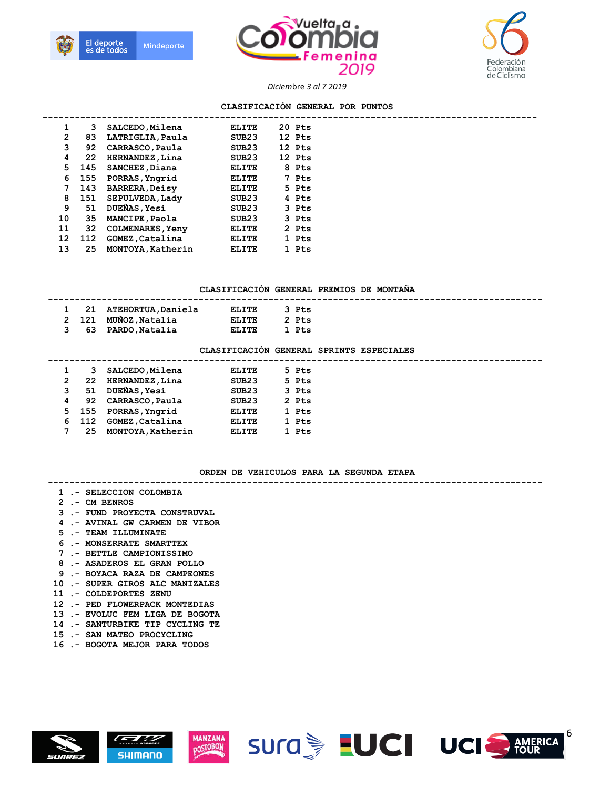





#### **CLASIFICACIÓN GENERAL POR PUNTOS**

| 1              | 3   | SALCEDO, Milena         | <b>ELITE</b>      | 20 Pts |  |
|----------------|-----|-------------------------|-------------------|--------|--|
| $\overline{2}$ | 83  | LATRIGLIA, Paula        | SUB <sub>23</sub> | 12 Pts |  |
| з              | 92  | CARRASCO, Paula         | SUB <sub>23</sub> | 12 Pts |  |
| 4              | 22  | HERNANDEZ, Lina         | SUB <sub>23</sub> | 12 Pts |  |
| 5.             | 145 | SANCHEZ, Diana          | ELITE             | 8 Pts  |  |
| 6              | 155 | PORRAS, Yngrid          | <b>ELITE</b>      | 7 Pts  |  |
| 7              | 143 | <b>BARRERA, Deisy</b>   | <b>ELITE</b>      | 5 Pts  |  |
| 8              | 151 | SEPULVEDA, Lady         | SUB <sub>23</sub> | 4 Pts  |  |
| 9              | 51  | DUEÑAS, Yesi            | SUB <sub>23</sub> | 3 Pts  |  |
| 10             | 35  | <b>MANCIPE, Paola</b>   | SUB <sub>23</sub> | 3 Pts  |  |
| 11             | 32  | <b>COLMENARES, Yeny</b> | ELITE             | 2 Pts  |  |
| 12             | 112 | GOMEZ, Catalina         | <b>ELITE</b>      | 1 Pts  |  |
| 13             | 25  | MONTOYA, Katherin       | ELITE             | 1 Pts  |  |
|                |     |                         |                   |        |  |

#### **CLASIFICACIÓN GENERAL PREMIOS DE MONTAÑA**

|  | 1 21 ATEHORTUA, Daniela | ELITE | 3 Pts |  |
|--|-------------------------|-------|-------|--|
|  | 2 121 MUÑOZ, Natalia    | ELITE | 2 Pts |  |
|  | 3 63 PARDO, Natalia     | ELITE | 1 Pts |  |

#### **CLASIFICACIÓN GENERAL SPRINTS ESPECIALES**

|    | з     | SALCEDO, Milena     | ELITE             | 5 Pts |
|----|-------|---------------------|-------------------|-------|
| 2  | 22    | HERNANDEZ, Lina     | SUB23             | 5 Pts |
| 3  | 51    | <b>DUEÑAS, Yesi</b> | SUB <sub>23</sub> | 3 Pts |
| 4  | 92    | CARRASCO, Paula     | SUB <sub>23</sub> | 2 Pts |
| 5. | - 155 | PORRAS, Yngrid      | <b>ELITE</b>      | 1 Pts |
| 6  | - 112 | GOMEZ, Catalina     | <b>ELITE</b>      | 1 Pts |
|    | 25    | MONTOYA, Katherin   | <b>ELITE</b>      | 1 Pts |
|    |       |                     |                   |       |

#### **ORDEN DE VEHICULOS PARA LA SEGUNDA ETAPA**

#### **--------------------------------------------------------------------------------------------**

- **1 .- SELECCION COLOMBIA**
- **2 .- CM BENROS**
- **3 .- FUND PROYECTA CONSTRUVAL**
- **4 .- AVINAL GW CARMEN DE VIBOR**
- **5 .- TEAM ILLUMINATE**
- **6 .- MONSERRATE SMARTTEX**
- **7 .- BETTLE CAMPIONISSIMO**
- **8 .- ASADEROS EL GRAN POLLO**
- **9 .- BOYACA RAZA DE CAMPEONES**
- **10 .- SUPER GIROS ALC MANIZALES**
- **11 .- COLDEPORTES ZENU**
- **12 .- PED FLOWERPACK MONTEDIAS**
- **13 .- EVOLUC FEM LIGA DE BOGOTA**
- **14 .- SANTURBIKE TIP CYCLING TE**
- **15 .- SAN MATEO PROCYCLING**
- **16 .- BOGOTA MEJOR PARA TODOS**









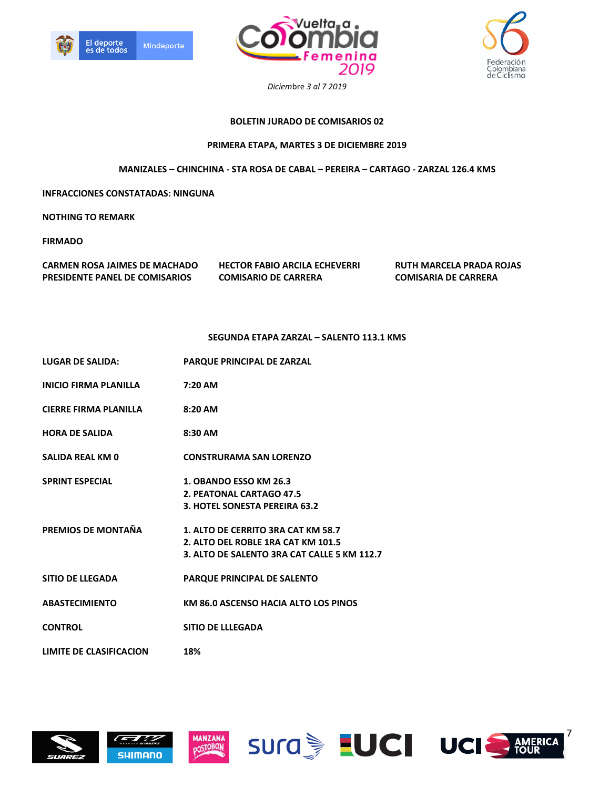





# **BOLETIN JURADO DE COMISARIOS 02**

# **PRIMERA ETAPA, MARTES 3 DE DICIEMBRE 2019**

**MANIZALES – CHINCHINA - STA ROSA DE CABAL – PEREIRA – CARTAGO - ZARZAL 126.4 KMS** 

**INFRACCIONES CONSTATADAS: NINGUNA** 

**NOTHING TO REMARK** 

**FIRMADO** 

| CARMEN ROSA JAIMES DE MACHADO         |  |
|---------------------------------------|--|
| <b>PRESIDENTE PANEL DE COMISARIOS</b> |  |

**CARMEN ROSA JAIMES DE MACHADO HECTOR FABIO ARCILA ECHEVERRI RUTH MARCELA PRADA ROJAS PRIMEIRIA COMISARIO DE CARRERA COMISARIA DE CARRERA** 

### **SEGUNDA ETAPA ZARZAL – SALENTO 113.1 KMS**

| <b>LUGAR DE SALIDA:</b>        | PARQUE PRINCIPAL DE ZARZAL                                                                                              |
|--------------------------------|-------------------------------------------------------------------------------------------------------------------------|
| INICIO FIRMA PLANILLA          | 7:20 AM                                                                                                                 |
| CIERRE FIRMA PLANILLA          | 8:20 AM                                                                                                                 |
| HORA DE SALIDA                 | 8:30 AM                                                                                                                 |
| SALIDA REAL KM 0               | <b>CONSTRURAMA SAN LORENZO</b>                                                                                          |
| <b>SPRINT ESPECIAL</b>         | <b>1. OBANDO ESSO KM 26.3</b><br>2. PEATONAL CARTAGO 47.5<br>3. HOTEL SONESTA PEREIRA 63.2                              |
| PREMIOS DE MONTAÑA             | 1. ALTO DE CERRITO 3RA CAT KM 58.7<br>2. ALTO DEL ROBLE 1RA CAT KM 101.5<br>3. ALTO DE SALENTO 3RA CAT CALLE 5 KM 112.7 |
| SITIO DE LLEGADA               | <b>PARQUE PRINCIPAL DE SALENTO</b>                                                                                      |
| <b>ABASTECIMIENTO</b>          | KM 86.0 ASCENSO HACIA ALTO LOS PINOS                                                                                    |
| <b>CONTROL</b>                 | <b>SITIO DE LLLEGADA</b>                                                                                                |
| <b>LIMITE DE CLASIFICACION</b> | 18%                                                                                                                     |
|                                |                                                                                                                         |







**MANZANA DOSTOBON** 





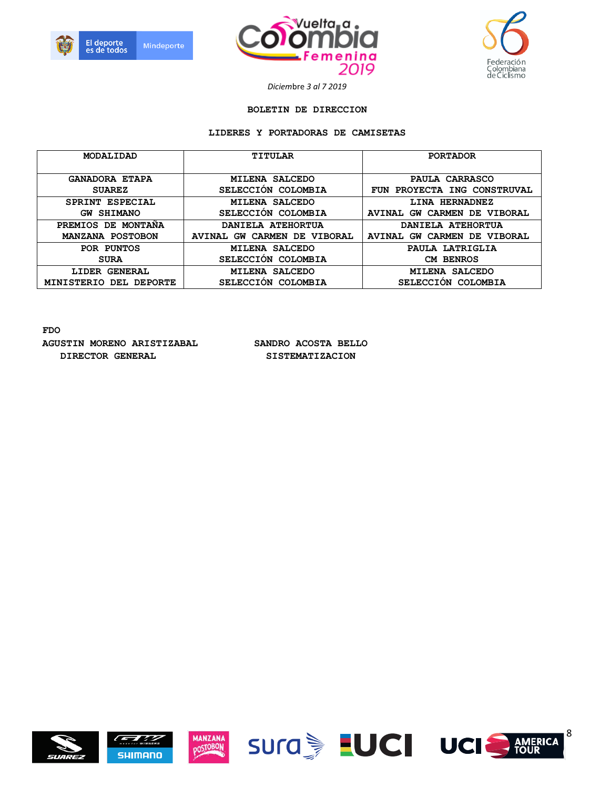





#### **BOLETIN DE DIRECCION**

### **LIDERES Y PORTADORAS DE CAMISETAS**

| MODALIDAD                        | <b>TITULAR</b>                                             | <b>PORTADOR</b>                           |
|----------------------------------|------------------------------------------------------------|-------------------------------------------|
| <b>GANADORA ETAPA</b>            | <b>SALCEDO</b><br><b>MILENA</b>                            | PAULA CARRASCO                            |
| <b>SUAREZ</b>                    | SELECCION COLOMBIA                                         | PROYECTA ING CONSTRUVAL<br><b>FUN</b>     |
| SPRINT ESPECIAL                  | <b>SALCEDO</b><br><b>MILENA</b>                            | LINA HERNADNEZ                            |
| <b>SHIMANO</b><br>GW             | SELECCION COLOMBIA                                         | CARMEN DE VIBORAL<br>GW<br><b>AVINAL</b>  |
| DE.<br><b>MONTANA</b><br>PREMIOS | DANIELA ATEHORTUA                                          | DANIELA ATEHORTUA                         |
| MANZANA POSTOBON                 | <b>CARMEN DE</b><br><b>VIBORAL</b><br><b>AVINAL</b><br>GW. | CARMEN DE VIBORAL<br><b>AVINAL</b><br>GW. |
| POR PUNTOS                       | <b>MILENA SALCEDO</b>                                      | PAULA LATRIGLIA                           |
| <b>SURA</b>                      | SELECCION COLOMBIA                                         | <b>CM BENROS</b>                          |
| <b>GENERAL</b><br>LIDER          | <b>SALCEDO</b><br><b>MILENA</b>                            | <b>SALCEDO</b><br><b>MILENA</b>           |
| DEL DEPORTE<br><b>MINISTERIO</b> | <b>SELECCION</b><br>COLOMBIA                               | SELECCION COLOMBIA                        |

**FDO AGUSTIN MORENO ARISTIZABAL SANDRO ACOSTA BELLO**  DIRECTOR GENERAL SISTEMATIZACION















8